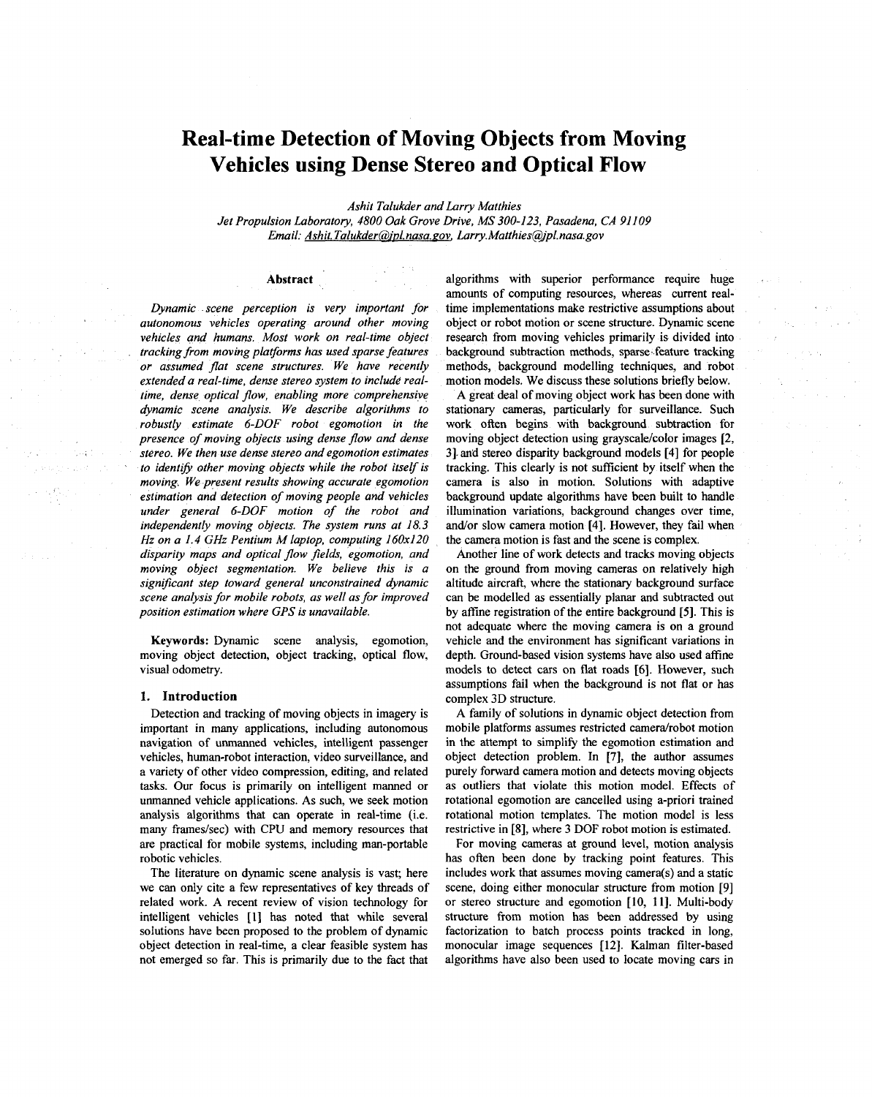# **Real-time Detection of Moving Objects from Moving Vehicles using Dense Stereo and Optical Flow**

*Ashit Talukder and Larry Matthies* 

*Jet Propulsion Laboratory, 4800 Oak Grove Drive, MS 300-123, Pasadena, CA 911 09 Email: Ashit. Talukder@iul.nasa.pov, [Larry.Matthies@jpl.nasa.gov](mailto:Larry.Matthies@jpl.nasa.gov)* 

# **Abstract**

*Dynamic scene perception is very important for autonomous vehicles operating around other moving vehicles and humans. Most work on real-time object tracking from moving plaforms has used sparse features or assumed flat scene structures. We have recently extended a real-time, dense stereo system to includg realtime, dense optical flow, enabling more comprehensive dynamic scene analysis. We describe algorithms to robustly estimate 6-DOF robot egomotion in the presence of moving objects using dense flow and dense stereo. We then use dense stereo and egomotion estimates*  to identify other moving objects while the robot itself is *moving. We present results showing accurate egomotion estimation and detection of moving people and vehicles under general 6-DOF motion of the robot and independently moving objects. The system runs at 18.3 Hz on a 1.4 GHz Pentium Mlaptop, computing 160x120 disparity maps and optical flow fields, egomotion, and moving object segmentation. We believe this is a signifcant step toward general unconstrained dynamic scene analysis for mobile robots, as well as for improved position estimation where GPS is unavailable.* 

**Keywords:** Dynamic scene analysis, egomotion, moving object detection, object tracking, optical flow, visual odometry.

# **1. Introduction**

Detection and tracking of moving objects in imagery is important in many applications, including autonomous navigation of unmanned vehicles, intelligent passenger vehicles, human-robot interaction, video surveillance, and a variety of other video compression, editing, and related tasks. Our focus **is** primarily on intelligent manned or unmanned vehicle applications. As such, we seek motion analysis algorithms that can operate in real-time (i.e. many frames/sec) with CPU and memory resources that are practical for mobile systems, including man-portable robotic vehicles.

The literature on dynamic scene analysis is vast; here we can only cite a few representatives of key threads of related work. A recent review of vision technology for intelligent vehicles [I] has noted that while several solutions have been proposed to the problem of dynamic object detection in real-time, a clear feasible system has not emerged *so* far. This is primarily due to the fact that

algorithms with superior performance require huge amounts of computing resources, whereas current realtime implementations make restrictive assumptions about object or robot motion or scene structure. Dynamic scene research from moving vehicles primarily is divided into background subtraction methods, sparse feature tracking methods, background modelling techniques, and robot motion models. We discuss these solutions briefly below.

A great deal of moving object work has been done with stationary cameras, particularly for surveillance. Such work often begins with background subtraction for moving object detection using grayscale/color images **[2,**  31. anti stereo disparity background models [4] for people tracking. This clearly is not sufficient by itself when the camera is also in motion. Solutions with adaptive background update algorithms have been built to handle illumination variations, background changes over time, and/or slow camera motion [4]. However, they fail when the camera motion is fast and the scene is complex.

Another line of work detects and tracks moving objects on the ground from moving cameras on relatively high altitude aircraft, where the stationary background surface can be modelled as essentially planar and subtracted out by affine registration of the entire background [5]. This is not adequate where the moving camera is on a ground vehicle and the environment has significant variations in depth. Ground-based vision systems have also used affine models to detect cars on flat roads *[6].* However, such assumptions fail when the background is not flat or has complex 3D structure.

**A** family of solutions in dynamic object detection from mobile platforms assumes restricted camera/robot motion in the attempt to simplify the egomotion estimation and object detection problem. In [7], the author assumes purely forward camera motion and detects moving objects as outliers that violate this motion model. Effects of rotational egomotion are cancelled using a-priori trained rotational motion templates. The motion model is less restrictive in **[SI,** where **3** DOF robot motion is estimated.

For moving cameras at ground level, motion analysis has often been done by tracking point features. This includes work that assumes moving camera(s) and a static scene, doing either monocular structure from motion [9] or stereo structure and egomotion [ **10, 111.** Multi-body structure from motion has been addressed by using factorization to batch process points tracked in long, monocular image sequences [ **121.** Kalman filter-based algorithms have also been used to locate moving cars in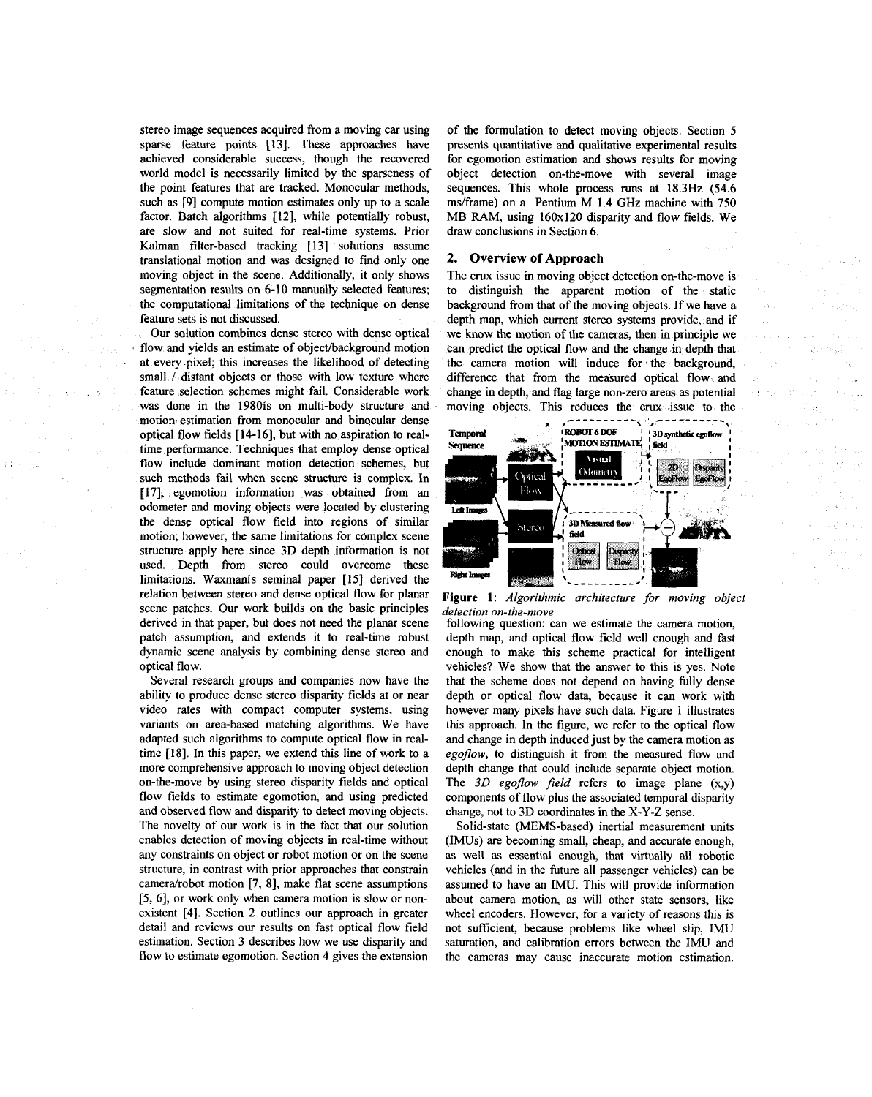<span id="page-1-0"></span>stereo image sequences acquired from a moving car using sparse feature points **[13].** These approaches have achieved considerable success, though the recovered world model is necessarily limited by the sparseness of the point features that are tracked. Monocular methods, such **as [9]** compute motion estimates only up to a scale factor. Batch algorithms [ **121,** while potentially robust, are slow and not suited for real-time systems. Prior Kalman filter-based tracking [ **131** solutions assume translational motion and was designed to find only one moving object in the scene. Additionally, it only shows segmentation results on 6-10 manually selected features; the computational limitations of the technique on dense feature sets is not discussed.

Our solution combines dense stereo with dense optical flow and yields an estimate of object/background motion at every pixel; this increases the likelihood of detecting small / distant objects **or** those with low texture where feature selection schemes might fail. Considerable work was done in the **1980is** on multi-body structure and motion estimation from monocular and binocular dense optical flow fields **114-161,** but with no aspiration to realtime performance. Techniques that employ dense optical flow include dominant motion detection schemes, but such methods fail when scene structure is complex. In **[17],** egomotion information was obtained from an odometer and moving objects were located by clustering the dense optical flow field into regions of similar motion; however, the same limitations for complex scene structure apply here since **3D** depth information is not used. Depth from stereo could overcome these limitations. Waxmanis seminal paper **[I51** derived the relation between stereo and dense optical flow for planar scene patches. Our work builds on the basic principles derived in that paper, but does not need the planar scene patch assumption, and extends it to real-time robust dynamic scene analysis by combining dense stereo and optical flow.

Several research groups and companies now have the ability to produce dense stereo disparity fields at or near video rates with compact computer systems, using variants on area-based matching algorithms. We have adapted such algorithms to compute optical flow in realtime **(181.** In this paper, we extend this line of work to a more comprehensive approach to moving object detection on-the-move by using stereo disparity fields and optical flow fields to estimate egomotion, and using predicted and observed flow **and** disparity to detect moving objects. The novelty of our work is in the fact that our solution enables detection of moving objects in real-time without any constraints on object or robot motion or on the scene structure, in contrast with prior approaches that constrain camera/robot motion [7, 8], make flat scene assumptions **[5, 61,** or work only when camera motion is slow or nonexistent **[4].** Section 2 outlines our approach in greater detail and reviews our results on fast optical flow field estimation. Section **3** describes how we use disparity and flow to estimate egomotion. Section **4** gives the extension

of the formulation to detect moving objects. Section *5*  presents quantitative and qualitative experimental results for egomotion estimation and shows results for moving object detection on-the-move with several image sequences. This whole process runs at **18.3Hz (54.6**  ms/frame) on a Pentium M **1.4** *GHz* machine with **750**  MB RAM, using **160x120** disparity and flow fields. We draw conclusions in Section **6.** 

## **2. Overview of Approach**

The crux issue in moving object detection an-the-move is to distinguish the apparent motion of the static background from that of the moving objects. If we have a depth map, which current stereo systems provide, and if we know the motion of the cameras, then in principle we can predict the optical flow and the change in depth that the camera motion will induce for the background, difference that from the measured optical flow and change in depth, and flag large non-zero areas **as** potential



**Figure 1** : *Algorithmic architecture for moving object detection on-the-move* 

following question: can we estimate the camera motion, depth map, and optical flow field well enough and fast enough to make this scheme practical for intelligent vehicles? We show that the answer to this is yes. Note that the scheme does not depend on having fully dense depth or optical flow data, because it can work with however many pixels have such data. Figure **1** illustrates this approach. In the figure, we refer to the optical flow and change in depth induced just by the camera motion as *egoflow,* to distinguish it from the measured flow and depth change that could include separate object motion. The *3D egoflow field* refers to image plane (x,y) components of flow plus the associated temporal disparity change, not to **3D** coordinates in the X-Y-Z sense.

Solid-state (MEMS-based) inertial measurement units **(IMUs)** are becoming small, cheap, and accurate enough, as well as essential enough, that virtually all robotic vehicles (and in the future all passenger vehicles) can be assumed to have an IMU. This will provide information about camera motion, **as** will other state sensors, like wheel encoders. However, for a variety of reasons this is not sufficient, because problems like wheel slip, IMU saturation, and calibration errors between the IMU and the cameras may cause inaccurate motion estimation.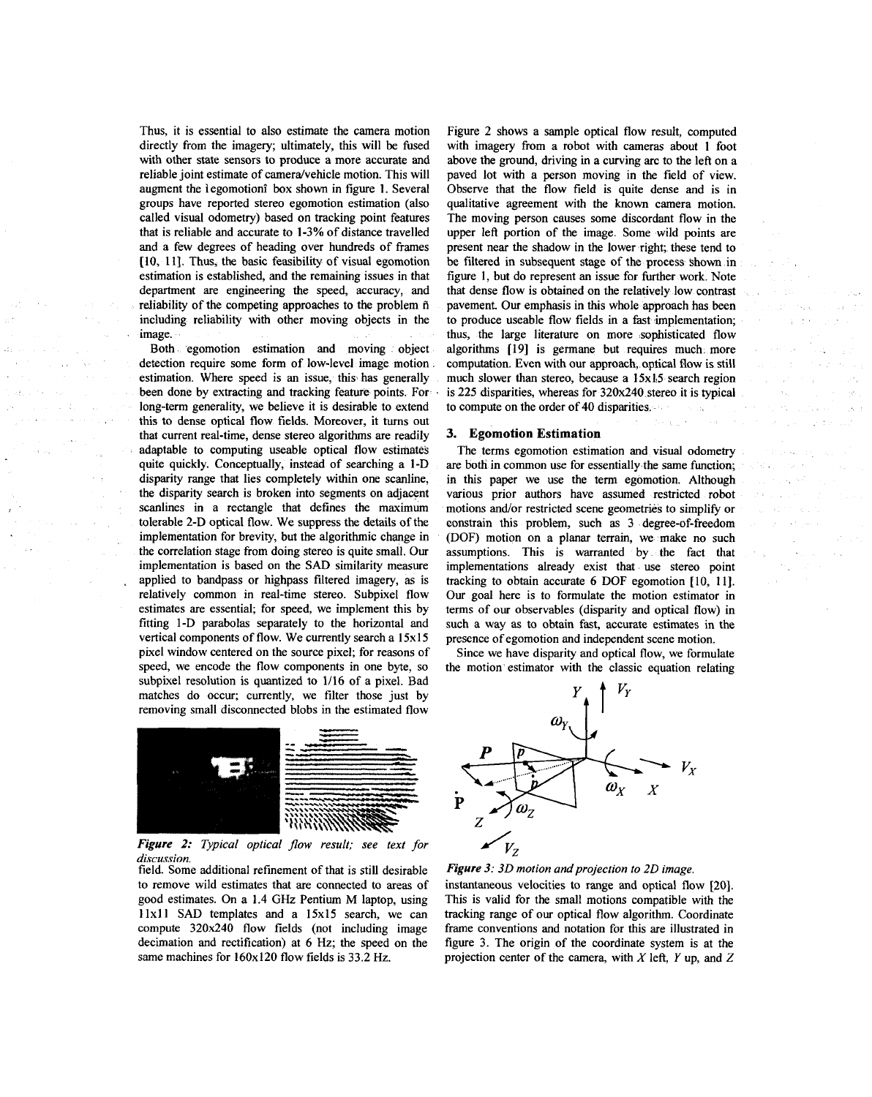Thus, it is essential to also estimate the camera motion directly from the imagery; ultimately, this will be fused with other state sensors to produce a more accurate and reliable joint estimate of camerdvehicle motion. This will augment the **i** egomotioni box shown in [figure 1.](#page-1-0) Several groups have reported stereo egomotion estimation (also called visual odometry) based on tracking point features that is reliable and accurate to 1-3% **of** distance travelled and a few degrees of heading over hundreds of frames [IO, **1** I]. Thus, the basic feasibility of visual egomotion estimation is established, and the remaining issues in that department are engineering the speed, accuracy, and reliability of the competing approaches to the problem  $\tilde{n}$ including reliability with other moving objects in the image.

Both egomotion estimation and moving object detection require some form of low-level image motion. estimation. Where speed is an issue, this' has generally been done by extracting and tracking feature points. For long-term generality, we believe it is desirable to extend this to dense optical flow fields. Moreover, it turns out that current real-time, dense stereo algorithms are readily adaptable to computing useable optical flow estimates quite quickly. Conceptually, instead of searching a 1-D disparity range that lies completely within one scanline, the disparity search is broken into segments on adjacent scanlines in a rectangle that defines the maximum tolerable 2-D optical flow. We suppress the details of the implementation for brevity, but the algorithmic change in the correlation stage from doing stereo is quite small. Our implementation is based on the SAD similarity measure applied to bandpass **or** highpass filtered imagery, as **is**  relatively common in real-time stereo. Subpixel flow estimates are essential; for speed, we implement this by fitting I-D parabolas separately to the horizontal and vertical components of flow. We currently search a 15x15 pixel window centered on the source pixel; for reasons of speed, we encode the flow components in one byte, so subpixel resolution is quantized to 1/16 of a pixel. Bad matches do occur; currently, we filter those just by removing small disconnected blobs in the estimated flow

,

*Figure 2: Typical optical flow result: see text for discussion.* 

field. Some additional refinement of that is still desirable to remove wild estimates that are connected to areas of good estimates. On a 1.4 *GHz* Pentium M laptop, using 11x11 SAD templates and a 15x15 search, we can compute 320x240 flow fields (not including image decimation and rectification) at 6 Hz; the speed on the same machines **for** 160x120 flow fields is 33.2 Hz.

Figure 2 shows a sample optical flow result, computed with imagery from a robot with cameras about 1 foot above the ground, driving in a curving arc to the left on a paved lot with a person moving in the field of view. Observe that the flow field is quite dense and is in qualitative agreement with the known camera motion. The moving person causes some discordant flow in the upper left portion of the image. Some wild points are present near the shadow in the lower right; these tend to be filtered in subsequent stage of the process 'shown in figure 1, but do represent an issue for further work. Note that dense flow is obtained on the relatively low contrast pavement. Our emphasis in this whole approach *has* been to produce useable flow fields in a fast implementation; thus, the large literature on more sophisticated flow algorithms [19] is germane but requires much more computation. Even with our approach, optical flow is still much slower than stereo, because a 15x13 search region is 225 disparities, whereas for 320x240 stereo it is typical to compute on the order of 40 disparities. Silvation

# **3. Egomotion Estimation**

The terms egomotion estimation and visual odometry are both in common use for essentially the same function; in this paper we use the term egomotion. Although various prior authors have assumed restricted robot motions and/or restricted scene geometries to simplify **or**  constrain this problem, such as **3** degree-of-freedom (DOF) motion on a planar terrain, we make no such assumptions. This is warranted by the fact that implementations already exist that use stereo point tracking to obtain accurate 6 DOF egomotion [10, 11]. Our goal here is to formulate the motion estimator in terms of our observables (disparity and optical flow) in such a way **as** to obtain fast, accurate estimates in the presence of egomotion and independent scene motion.

Since we have disparity and optical flow, we formulate the motion estimator with the classic equation relating



*Figure 3: 3D motion and projection to 2D image.* 

instantaneous velocities to range and optical flow [20]. This is valid for the small motions compatible with the tracking range of **our** optical flow algorithm. Coordinate frame conventions and notation for this are illustrated in figure 3. The origin of the coordinate system is at the projection center of the camera, with *X* left, *Y* up, and *Z*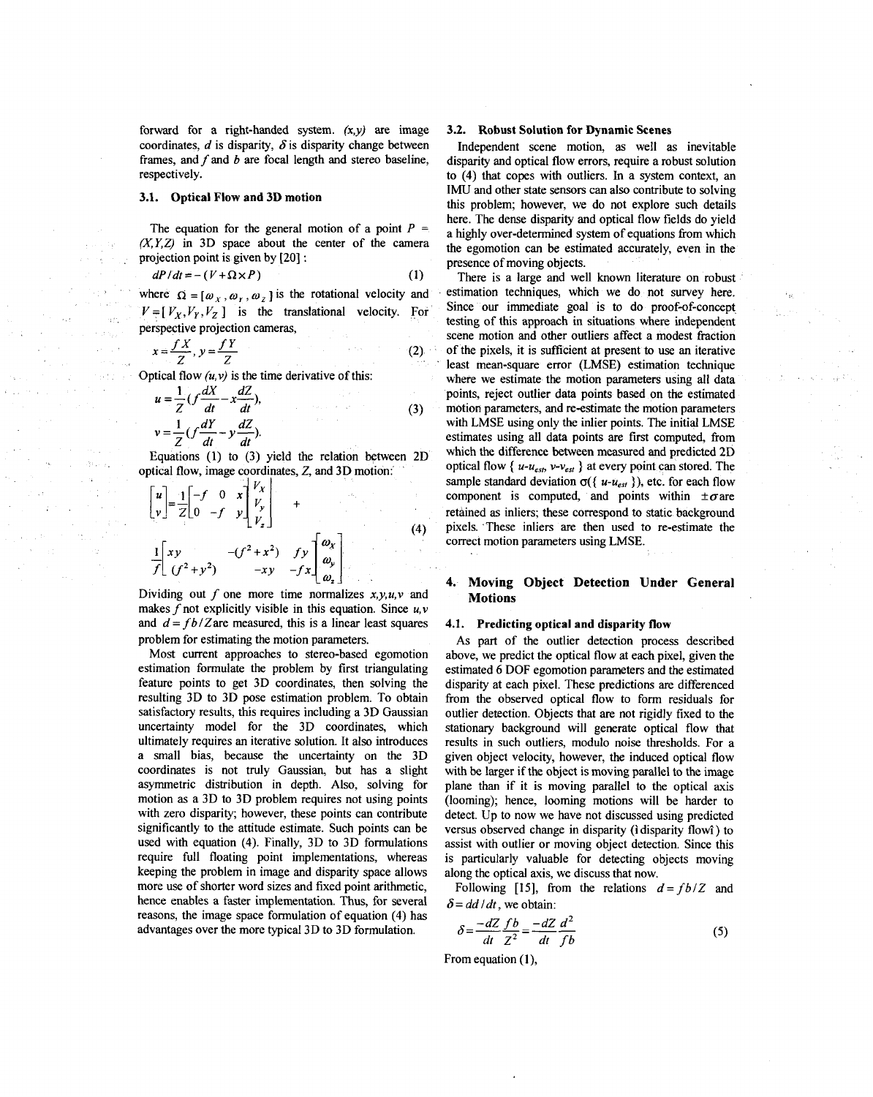forward for a right-handed system. *(x,y)* are image **3.2. Robust Solution for Dynamic Scenes**  coordinates, *d* is disparity, 6is disparity change between Independent scene motion, as well **as** inevitable frames, and *f* and *b* are focal length and stereo baseline, disparity and optical flow errors, require a robust solution

### **3.1. Optical Flow and 3D motion**

The equation for the general motion of a point  $P =$  $(X, Y, Z)$  in 3D space about the center of the camera projection point is given by [20] :

$$
dP/dt = -(V + \Omega \times P) \tag{1}
$$

where  $\Omega = [\omega_X, \omega_Y, \omega_Z]$  is the rotational velocity and  $V = [V_x, V_y, V_z]$  is the translational velocity. For perspective projection cameras,

$$
x = \frac{fX}{Z}, y = \frac{fY}{Z}
$$
 (2)

Optical flow  $(u, v)$  is the time derivative of this:

$$
u = \frac{1}{Z} \left( f \frac{dX}{dt} - x \frac{dZ}{dt} \right),
$$
  
\n
$$
v = \frac{1}{Z} \left( f \frac{dY}{dt} - y \frac{dZ}{dt} \right).
$$
 (3)

Equations  $(1)$  to  $(3)$  yield the relation between 2D optical flow, image coordinates, Z, and 3D motion:

$$
\begin{bmatrix} u \\ v \end{bmatrix} = \frac{1}{Z} \begin{bmatrix} -f & 0 & x \\ 0 & -f & y \end{bmatrix} \begin{bmatrix} V_X \\ V_y \\ V_z \end{bmatrix} + \frac{1}{f} \begin{bmatrix} xy & -(f^2 + x^2) & fy \\ (f^2 + y^2) & -xy & -fx \end{bmatrix} \begin{bmatrix} \omega_X \\ \omega_y \\ \omega_z \end{bmatrix}
$$
 (4)

Dividing out  $f$  one more time normalizes  $x, y, u, v$  and makes  $\hat{f}$  not explicitly visible in this equation. Since  $u, v$ and  $d = fb/Z$  are measured, this is a linear least squares problem for estimating the motion parameters.

Most current approaches to stereo-based egomotion estimation formulate the problem by first triangulating feature points to get 3D coordinates, then solving the resulting 3D to 3D pose estimation problem. To obtain satisfactory results, this requires including a 3D Gaussian uncertainty model for the 3D coordinates, which ultimately requires an iterative solution. It also introduces a small bias, because the uncertainty on the 3D coordinates is not truly Gaussian, but has a slight asymmetric distribution in depth. **Also,** solving for motion as a 3D to 3D problem requires not using points with zero disparity; however, these points can contribute significantly to the attitude estimate. Such points can be used with equation **(4).** Finally, 3D to 3D formulations require full floating point implementations, whereas keeping the problem in image and disparity space allows more use of shorter word sizes and fixed point arithmetic, hence enables a faster implementation. Thus, for several reasons, the image space formulation of equation **(4)** has advantages over the more typical 3D to 3D formulation.

respectively. to **(4)** that copes with outliers. In a system context, an IMU and othe; state sensors can also contribute to solving this problem; however, we do not explore such details here. The dense disparity and optical flow fields do yield a highly over-determined system of equations from which the egomotion can be estimated accurately, even in the presence of moving objects.

> There is a large and well known literature on robust estimation techniques, which we do not survey here. Since our immediate goal is to do proof-of-concept testing of this approach in situations where independent scene motion and other outliers affect a modest fraction of the pixels, it is sufficient at present to use an iterative least mean-square error (LMSE) estimation technique where we estimate the motion parameters using all data points, reject outlier data points based on the estimated motion parameters, and re-estimate the motion parameters with LMSE using only the inlier points. The initial LMSE estimates using all data points **are first** computed, from which the difference between measured and predicted 2D optical flow {  $u$ - $u_{est}$ ,  $v$ - $v_{est}$  } at every point can stored. The sample standard deviation  $\sigma({\{u-u_{est}\}})$ , etc. for each flow component is computed, and points within  $\pm \sigma$  are retained as inliers; these correspond to static background pixels. These inliers **are** then used to re-estimate the correct motion parameters using LMSE.

# **4. Moving Object Detection Under General Motions**

### **4.1. Predicting optical and disparity flow**

**As** part of the outlier detection process described above, we predict the optical flow at each pixel, given the estimated **6** DOF egomotion parameters and the estimated disparity at each pixel. These predictions **are** differenced from the observed optical flow to form residuals for outlier detection. Objects that **are** not rigidly fixed to the stationary background will generate optical flow that results in such outliers, modulo noise thresholds. For a given object velocity, however, the induced optical flow with be larger if the object is moving parallel to the image plane than if it is moving parallel to the optical axis (looming); hence, looming motions will be harder to detect. Up to now we have not discussed using predicted versus observed change in disparity (idisparity flowi) to assist with outlier or moving object detection. Since this is particularly valuable for detecting objects moving along the optical axis, we discuss that now.

Following [15], from the relations  $d = fb/Z$  and  $\delta = dd/dt$ , we obtain:

$$
\delta = \frac{-dZ}{dt} \frac{fb}{Z^2} = \frac{-dZ}{dt} \frac{d^2}{fb}
$$
 (5)

From equation **(l),**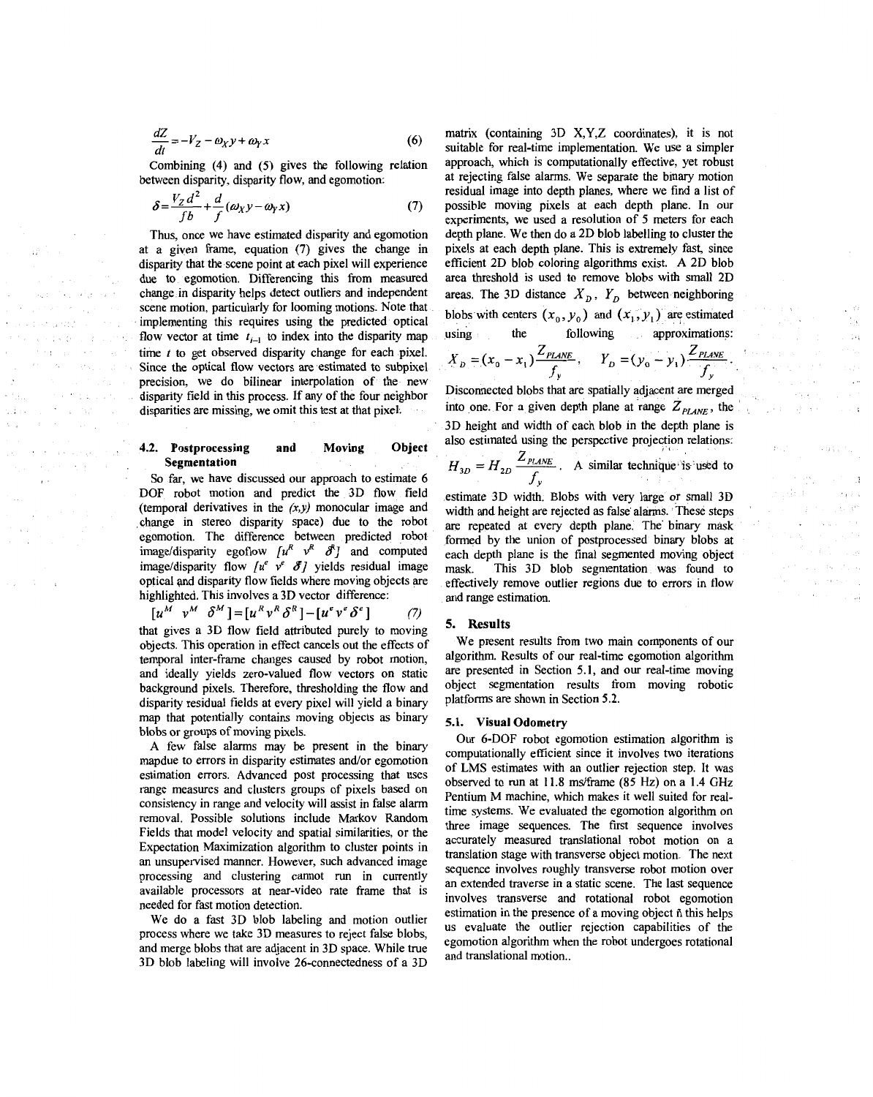$$
\frac{dZ}{dt} = -V_Z - \omega_X y + \omega_Y x \tag{6}
$$

Combining **(4)** and **(5)** gives the following relation between disparity, disparity flow, and egomotion:

$$
\delta = \frac{V_Z d^2}{fb} + \frac{d}{f} (\omega_X y - \omega_Y x)
$$
 (7)

Thus, once we have estimated disparity and egomotion at a given frame, equation **(7)** gives the change in disparity that the scene point at each pixel will experience due to egomotion. Differencing this from measured change in disparity helps detect outliers and independent scene motion, particularly for looming motions. Note that implementing this requires using the predicted optical flow vector at time  $t_{i-1}$  to index into the disparity map time *t* to get observed disparity change for each pixel. Since the optical flow vectors are estimated to subpixel precision, we do bilinear interpolation of the new disparity field in this process. If any of the four neighbor disparities are missing, we omit this test at that pixel.

ੀ ਦਾ ਸੰਗਤਰ

 $\epsilon = \sqrt{1 + 4} \times 3 \epsilon$  and  $4$ t David

# **4.2. Postprocessing and Moving Object Segmentation**

*So* far, we have discussed our approach to estimate *6*  DOF robot motion and predict the 3D flow field (temporal derivatives in the *(x,y)* monocular image and change in stereo disparity space) due to the robot egomotion. The difference between predicted robot image/disparity egoflow  $[u^R \quad v^R \quad \mathcal{S}^R]$  and computed image/disparity flow  $[u^e \ v^e \ \ \delta]$  yields residual image optical qnd disparity flow fields where moving objects are highlighted. This involves a 3D vector difference:

$$
\begin{bmatrix} u^M & v^M & \delta^M \end{bmatrix} = \begin{bmatrix} u^R v^R \delta^R \end{bmatrix} - \begin{bmatrix} u^e v^e \delta^e \end{bmatrix} \tag{7}
$$

that gives a 3D flow field attributed purely to moving objects. This operation in effect cancels out the effects of temporal inter-frame changes caused by robot motion, and ideally yields zero-valued flow vectors on static background pixels. Therefore, thresholding the flow and disparity residual fields at every pixel will yield a binary map that potentially contains moving objects as binary blobs or groups of moving pixels.

**A** few false alarms may be present in the binary mapdue to errors in disparity estimates and/or egomotion estimation errors. Advanced post processing that uses range measures and clusters groups of pixels based on consistency in range and velocity will assist in false alarm removal. Possible solutions include Markov Random Fields that model velocity and spatial similarities, or the Expectation Maximization algorithm to cluster points in an unsupervised manner. However, such advanced image processing and clustering cannot run in currently available processors at near-video rate frame that is needed for fast motion detection.

We do a fast 3D blob labeling and motion outlier process where we take 3D measures to reject false blobs, and merge blobs that are adjacent in 3D space. While true 3D blob labeling will involve 26-connectedness of a 3D

matrix (containing 3D **X,Y,Z** coordinates), it is not suitable for real-time implementation. We use a simpler approach, which is computationally effective, yet robust at rejecting false alarms. We separate the binary motion residual image into depth planes, where we find a list of possible moving pixels at each depth plane. In our experiments, we used a resolution of **5** meters for each depth plane. We then do a 2D blob labelling to cluster the pixels at each depth plane. This is extremely fast, since efficient 2D blob coloring algorithms exist. A 2D blob area threshold **is** used to remove blobs with small 2D areas. The 3D distance  $X_D$ ,  $Y_D$  between neighboring blobs with centers  $(x_0, y_0)$  and  $(x_1, y_1)$  are estimated using the following approximations:

$$
X_D = (x_0 - x_1) \frac{Z_{PLANE}}{f_y}, \quad Y_D = (y_0 - y_1) \frac{Z_{PLANE}}{f_y}.
$$

Disconnected blobs that are spatially adjacent are merged into one. For a given depth plane at range  $Z_{PLANE}$ , the 3D height and width of each blob in the depth plane is also estimated using the perspective projection relations: ,<  $X_D = (x_0 - x_1) \frac{\sum_{PLANE}}{f_y}$ ,  $Y_D = (y_0 - y_1) \frac{\sum_{PLANE}}{f_y}$ .<br>Disconnected blobs that are spatially adjacent are merged into one. For a given depth plane at range  $Z_{PLANE}$ , the<br>3D height and width of each blob in the depth plane

$$
H_{3D} = H_{2D} \frac{Z_{PLANE}}{f_y}
$$
. A similar technique is used to

estimate 3D width. Blobs with very large or small 3D width and height are rejected as false alarms. These steps **are** repeated at every depth plane. The binary mask formed by the union of postprocessed binary blobs at each depth plane is the final segmented moving object<br>mask. This 3D blob segmentation was found to This 3D blob segmentation was found to effectively remove outlier regions due to errors in flow and range estimation.

# **5. Results**

We present results from two main components of our algorithm. Results of our real-time egomotion algorithm are presented in Section 5.1, and our real-time moving object segmentation results from moving robotic platforms **are** shown in Section **5.2.** 

### **5.1. Visual Odometry**

Our 6-DOF robot egomotion estimation algorithm is computationally efficient since it involves two iterations of LMS estimates with an outlier rejection step. It was observed to run at 11.8 ms/frame (85 Hz) on a 1.4 GHz Pentium M machine, which makes it well suited for realtime systems. We evaluated the egomotion algorithm on three image sequences. The first sequence involves accurately measured translational robot motion on a translation stage with transverse object motion. The next sequence involves roughly transverse robot motion over an extended traverse in a static scene. The last sequence involves transverse and rotational robot egomotion estimation in the presence of a moving object  $\tilde{n}$  this helps **us** evaluate the outlier rejection capabilities of the egomotion algorithm when the robot undergoes rotational and translational motion..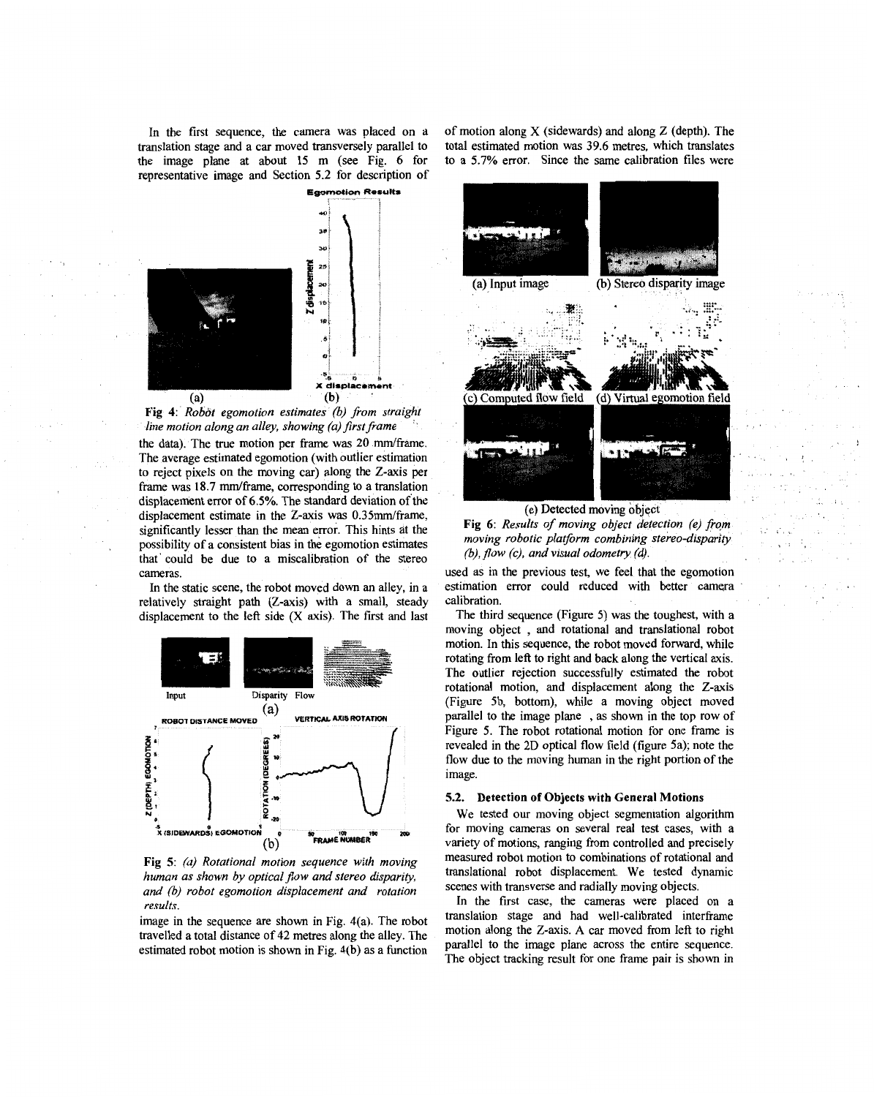In the first sequence, the camera was placed on a translation stage and a car moved transversely parallel to the image plane at about 15 m (see Fig. **6** for representative image and Section 5.2 for description of



(a) (b) ' **Fig 4:** *Robot egomotion estimates* (6) *from straight line motion along an alley, showing (a) first frame* 

the data). The true motion per frame was 20 mm/frame. The average estimated egomotion (with outlier estimation to reject pixels on the moving car) along the Z-axis per frame was 18.7 mm/frame, corresponding to a translation displacement error of 6.5%. The standard deviation of the displacement estimate in the Z-axis was 0.35mm/frame, significantly lesser than the mean error. This hints at the possibility of a consistent bias in the egomotion estimates that could be due to a miscalibration of the stereo cameras.

In the static scene, the robot moved down an alley, in a relatively straight path (Z-axis) with a small, steady displacement to the left side **(X** axis). The first and last



**Fig 5:** *(a) Rotational motion sequence with moving human as shown by optical jlow and stereo disparity, and* (b) *robot egomotion displacement and rotation results.* 

image in the sequence are shown in Fig. 4(a). The robot travelled a total distance of 42 metres along the alley. The estimated robot motion is shown in Fig. 4(b) as a function of motion along **X** (sidewards) and along **Z** (depth). The total estimated motion was **39.6** metres, which translates to a 5.7% error. Since the same calibration files were



(e) Detected moving object **Fig 6:** *Results of moving object detection (e) from moving robotic plarform combining stereo-disparity (b), jlow (c), and visual odometry* (4.

used as in the previous test, we feel that the egomotion estimation error could reduced with better camqra calibration.

The third sequence (Figure 5) was the toughest, with a moving object , and rotational and translational robot motion. In this sequence, the robot moved forward, while rotating from left to right and back along the vertical axis. The outlier rejection successfully estimated the robot rotational motion, and displacement along the Z-axis (Figure 5b, bottom), while a moving object moved parallel to the image plane , as shown in the top row of Figure 5. The robot rotational motion for one frame is revealed in the 2D optical flow field (figure 5a); note the flow due to the moving human in the right portion of the image.

#### *5.2.* Detection **of** Objects **with** General **Motions**

We tested our moving object segmentation algorithm for moving cameras on several real test cases, with a variety of motions, ranging from controlled and precisely measured robot motion to combinations of rotational and translational robot displacement. We tested dynamic scenes with transverse and radially moving objects.

In the first case, the cameras were placed on a translation stage and had well-calibrated interframe motion along the Z-axis. **A** car moved from left to right parallel to the image plane across the entire sequence. The object tracking result for one frame pair is shown in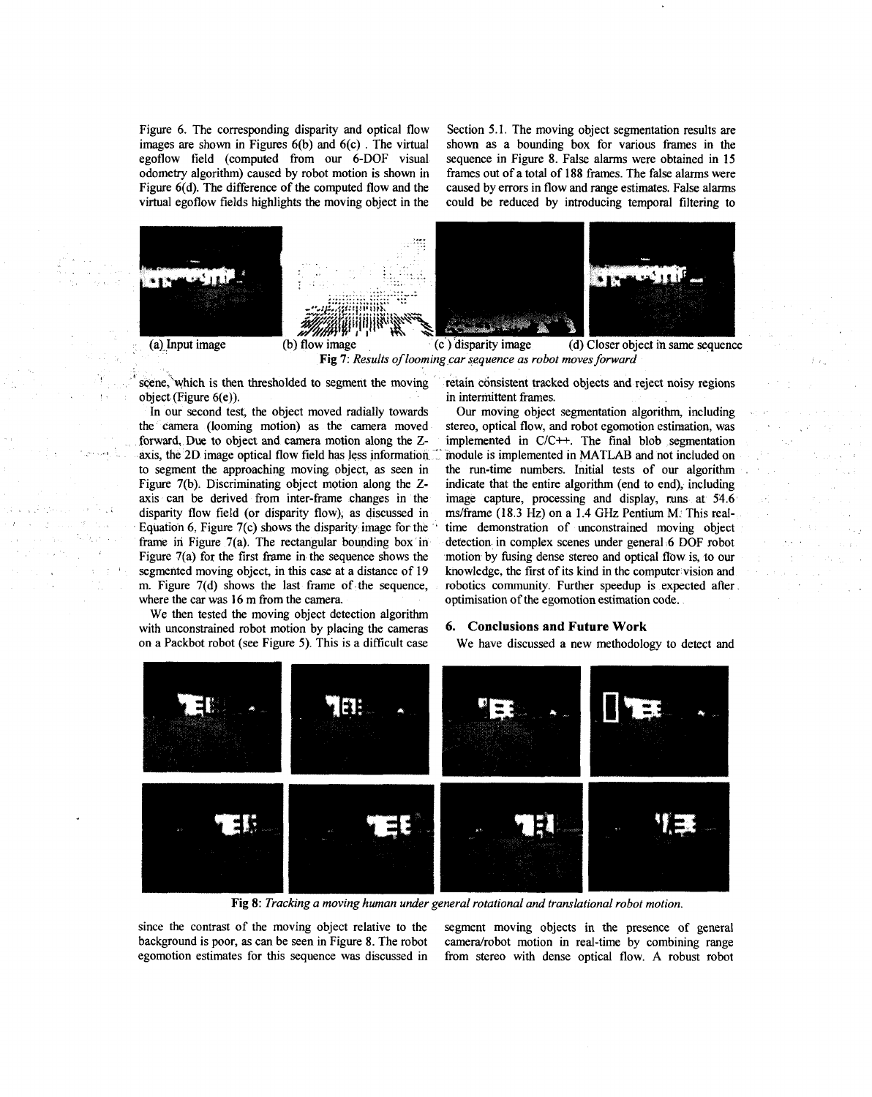Figure 6. The corresponding disparity and optical flow Section 5.1. The moving object segmentation results are images are shown in Figures 6(b) and 6(c). The virtual shown as a bounding box for various frames in the odometry algorithm) caused by robot motion is shown in Figure  $6(d)$ . The difference of the computed flow and the

images are shown in Figures  $6(b)$  and  $6(c)$ . The virtual shown as a bounding box for various frames in the egoflow field (computed from our  $6$ -DOF visual sequence in Figure 8. False alarms were obtained in 15 sequence in Figure 8. False alarms were obtained in 15 frames out of a total of 188 frames. The false alarms were Figure 6(d). The difference of the computed flow and the caused by errors in flow and range estimates. False alarms virtual egoflow fields highlights the moving object in the could be reduced by introducing temporal filter could be reduced by introducing temporal filtering to



**Fig** *7: Results of looming car sequence as robot moves forward* 

scene, which is then thresholded to segment the moving retain consistent tracked objects and reject noisy regions object (Figure 6(e)). bject (Figure 6(e)).<br>In our second test, the object moved radially towards Our moving object

forward. Due to object and camera motion along the Z- implemented in  $C/C++$ . The final blob segmentation axis, the 2D image optical flow field has less information. module is implemented in MATLAB and not included on axis, the 2D image optical flow field has less information in module is implemented in MATLAB and not included on to segment the approaching moving object, as seen in the run-time numbers. Initial tests of our algorithm to segment the approaching moving object, as seen in the run-time numbers. Initial tests of our algorithm<br>Figure 7(b). Discriminating object motion along the Z- indicate that the entire algorithm (end to end), including Figure 7(b). Discriminating object motion along the Z- indicate that the entire algorithm (end to end), including axis can be derived from inter-frame changes in the image capture, processing and display, runs at 54.6 disparity flow field (or disparity flow), as discussed in Equation 6, Figure 7(c) shows the disparity image for the frame in Figure 7(a). The rectangular bounding box in detection in complex scenes under general 6 DOF robot Figure 7(a) for the first frame in the sequence shows the motion by hsing dense stereo and optical flow is, to our segmented moving object, in this case at a distance of 19 knowledge, the first of its kind in the computer vision and m. Figure 7(d) shows the last frame of the sequence, robotics community. Further speedup is expected aft where the car was 16 m from the camera. optimisation of the egomotion estimation code.

We then tested the moving object detection algorithm with unconstrained robot motion by placing the cameras *6.* **Conclusions and Future Work**  on a Packbot robot (see Figure *5).* This is a difficult case

'

In our second test, the object moved radially towards Our moving object segmentation algorithm, including the camera (looming motion) as the camera moved stereo, optical flow, and robot egomotion estimation, was stereo, optical flow, and robot egomotion estimation, was image capture, processing and display, runs at  $54.6$  ms/frame (18.3 Hz) on a 1.4 GHz Pentium M: This realtime demonstration of unconstrained moving object robotics community. Further speedup is expected after.

We have discussed a new methodology to detect and



**Fig** *8: Tracking a moving human under general rotational and translational robot motion.* 

since the contrast of the moving object relative to the background is poor, as can be seen in Figure 8. The robot egomotion estimates for this sequence **was** discussed in

segment moving objects in the presence of general camera/robot motion in real-time by combining range from stereo with dense optical flow. **A** robust robot